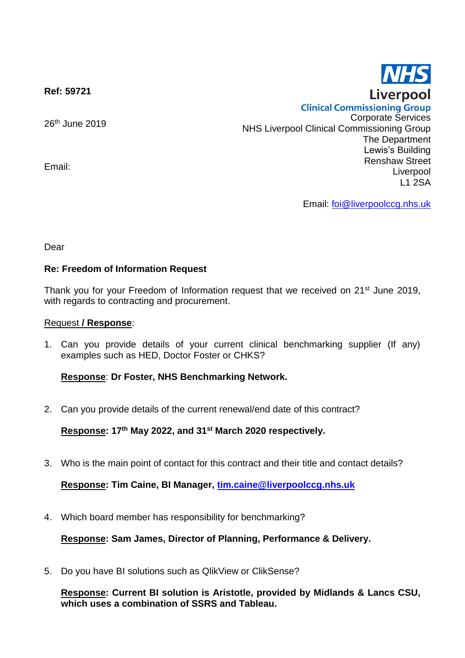**Ref: 59721**

26<sup>th</sup> June 2019

Email:

**Clinical Commissioning Group** Corporate Services NHS Liverpool Clinical Commissioning Group The Department Lewis's Building Renshaw Street Liverpool L1 2SA

Email: [foi@liverpoolccg.nhs.uk](mailto:foi@liverpoolccg.nhs.uk)

Dear

## **Re: Freedom of Information Request**

Thank you for your Freedom of Information request that we received on 21<sup>st</sup> June 2019, with regards to contracting and procurement.

## Request **/ Response**:

1. Can you provide details of your current clinical benchmarking supplier (If any) examples such as HED, Doctor Foster or CHKS?

## **Response**: **Dr Foster, NHS Benchmarking Network.**

2. Can you provide details of the current renewal/end date of this contract?

**Response: 17th May 2022, and 31st March 2020 respectively.**

3. Who is the main point of contact for this contract and their title and contact details?

**Response: Tim Caine, BI Manager, [tim.caine@liverpoolccg.nhs.uk](mailto:tim.caine@liverpoolccg.nhs.uk)**

4. Which board member has responsibility for benchmarking?

**Response: Sam James, Director of Planning, Performance & Delivery.**

5. Do you have BI solutions such as QlikView or ClikSense?

**Response: Current BI solution is Aristotle, provided by Midlands & Lancs CSU, which uses a combination of SSRS and Tableau.**